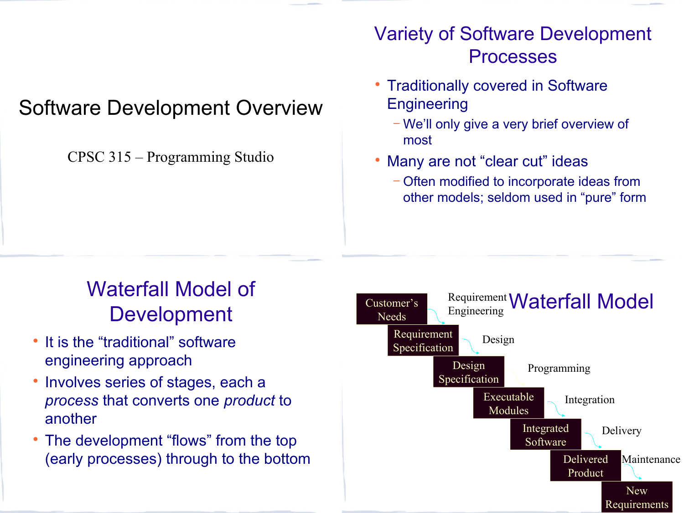### Software Development Overview

CPSC 315 – Programming Studio

#### Variety of Software Development Processes

- Traditionally covered in Software **Engineering** 
	- − We'll only give a very brief overview of most
- Many are not "clear cut" ideas
	- − Often modified to incorporate ideas from other models; seldom used in "pure" form

# Waterfall Model of **Development**

- It is the "traditional" software engineering approach
- Involves series of stages, each a *process* that converts one *product* to another
- The development "flows" from the top (early processes) through to the bottom

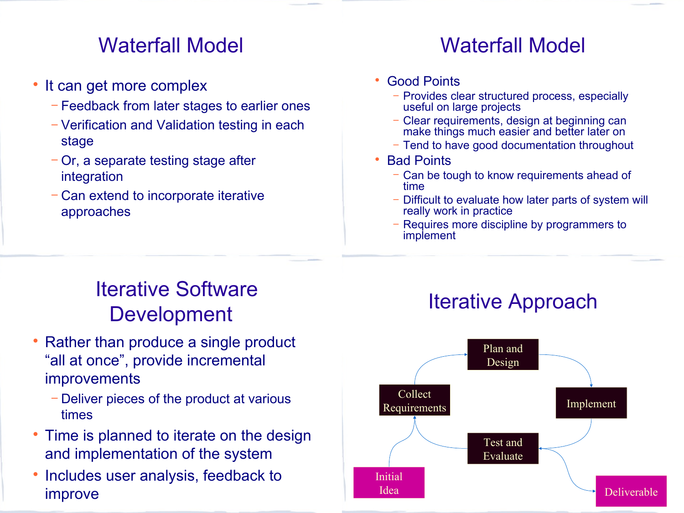#### Waterfall Model

- It can get more complex
	- − Feedback from later stages to earlier ones
	- − Verification and Validation testing in each stage
	- − Or, a separate testing stage after integration
	- − Can extend to incorporate iterative approaches

### Waterfall Model

- Good Points
	- − Provides clear structured process, especially useful on large projects
	- − Clear requirements, design at beginning can make things much easier and better later on
	- − Tend to have good documentation throughout
- Bad Points
	- − Can be tough to know requirements ahead of time
	- − Difficult to evaluate how later parts of system will really work in practice
	- Requires more discipline by programmers to implement

# Iterative Software Development

- Rather than produce a single product "all at once", provide incremental improvements
	- − Deliver pieces of the product at various times
- Time is planned to iterate on the design and implementation of the system
- Includes user analysis, feedback to improve

# Iterative Approach

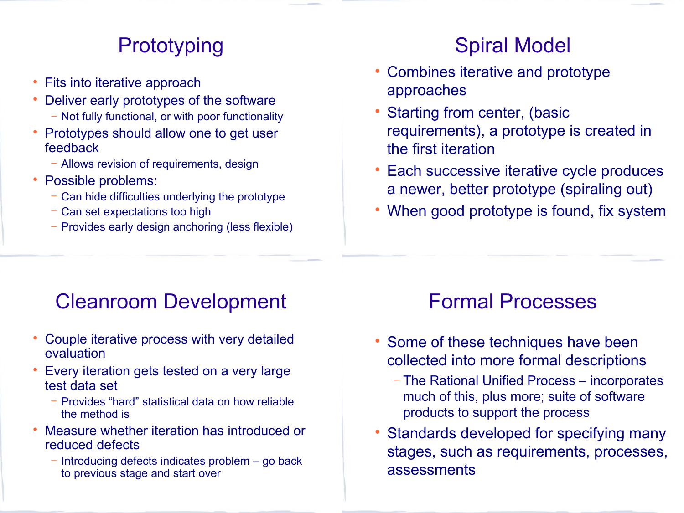### **Prototyping**

- Fits into iterative approach
- Deliver early prototypes of the software − Not fully functional, or with poor functionality
- Prototypes should allow one to get user feedback
	- − Allows revision of requirements, design
- Possible problems:
	- − Can hide difficulties underlying the prototype
	- − Can set expectations too high
	- − Provides early design anchoring (less flexible)

### Spiral Model

- Combines iterative and prototype approaches
- Starting from center, (basic requirements), a prototype is created in the first iteration
- Each successive iterative cycle produces a newer, better prototype (spiraling out)
- When good prototype is found, fix system

#### Cleanroom Development

- Couple iterative process with very detailed evaluation
- Every iteration gets tested on a very large test data set
	- − Provides "hard" statistical data on how reliable the method is
- Measure whether iteration has introduced or reduced defects
	- Introducing defects indicates problem go back to previous stage and start over

#### Formal Processes

- Some of these techniques have been collected into more formal descriptions
	- − The Rational Unified Process incorporates much of this, plus more; suite of software products to support the process
- Standards developed for specifying many stages, such as requirements, processes, assessments